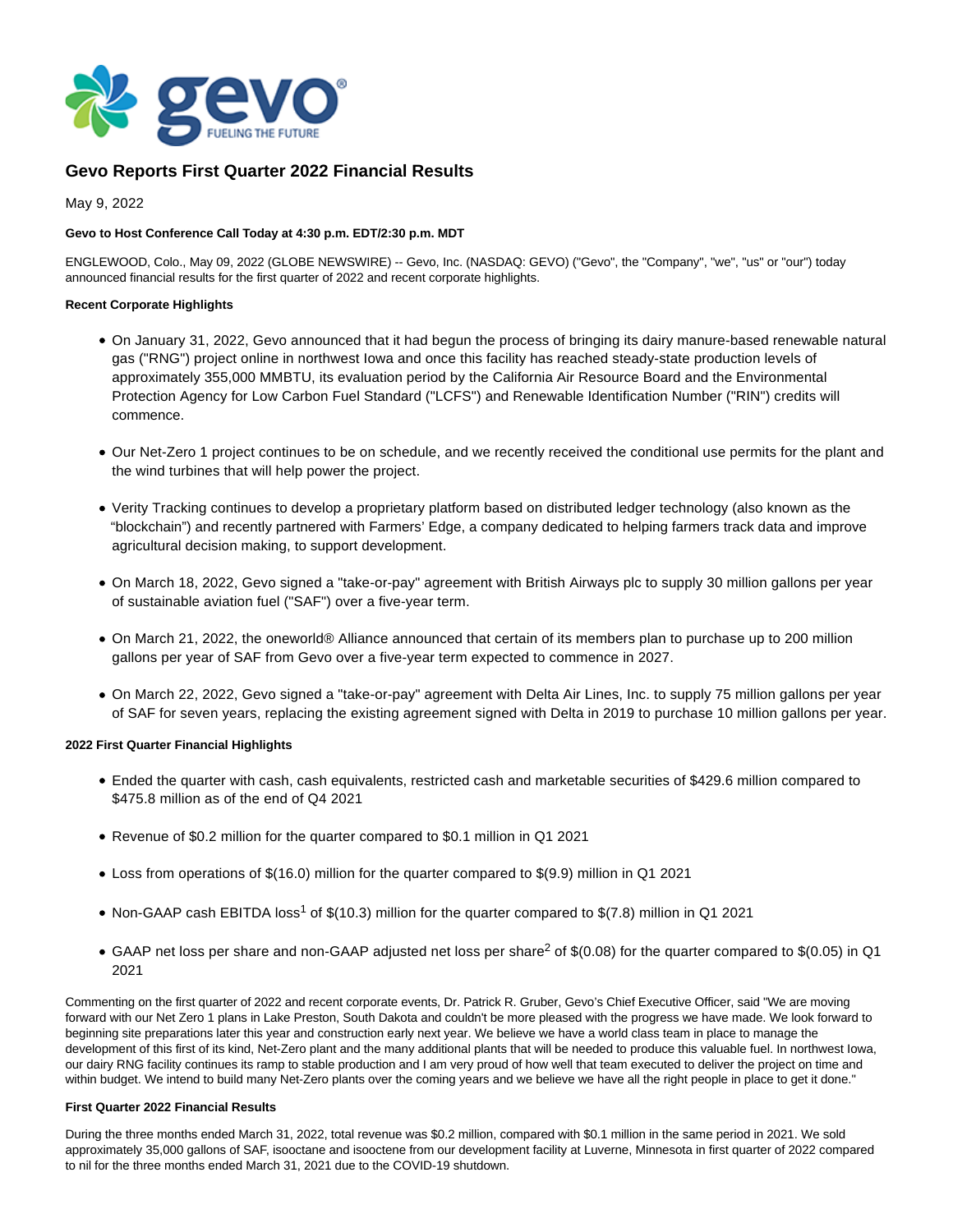

# **Gevo Reports First Quarter 2022 Financial Results**

May 9, 2022

# **Gevo to Host Conference Call Today at 4:30 p.m. EDT/2:30 p.m. MDT**

ENGLEWOOD, Colo., May 09, 2022 (GLOBE NEWSWIRE) -- Gevo, Inc. (NASDAQ: GEVO) ("Gevo", the "Company", "we", "us" or "our") today announced financial results for the first quarter of 2022 and recent corporate highlights.

## **Recent Corporate Highlights**

- On January 31, 2022, Gevo announced that it had begun the process of bringing its dairy manure-based renewable natural gas ("RNG") project online in northwest Iowa and once this facility has reached steady-state production levels of approximately 355,000 MMBTU, its evaluation period by the California Air Resource Board and the Environmental Protection Agency for Low Carbon Fuel Standard ("LCFS") and Renewable Identification Number ("RIN") credits will commence.
- Our Net-Zero 1 project continues to be on schedule, and we recently received the conditional use permits for the plant and the wind turbines that will help power the project.
- Verity Tracking continues to develop a proprietary platform based on distributed ledger technology (also known as the "blockchain") and recently partnered with Farmers' Edge, a company dedicated to helping farmers track data and improve agricultural decision making, to support development.
- On March 18, 2022, Gevo signed a "take-or-pay" agreement with British Airways plc to supply 30 million gallons per year of sustainable aviation fuel ("SAF") over a five-year term.
- On March 21, 2022, the oneworld® Alliance announced that certain of its members plan to purchase up to 200 million gallons per year of SAF from Gevo over a five-year term expected to commence in 2027.
- On March 22, 2022, Gevo signed a "take-or-pay" agreement with Delta Air Lines, Inc. to supply 75 million gallons per year of SAF for seven years, replacing the existing agreement signed with Delta in 2019 to purchase 10 million gallons per year.

# **2022 First Quarter Financial Highlights**

- Ended the quarter with cash, cash equivalents, restricted cash and marketable securities of \$429.6 million compared to \$475.8 million as of the end of Q4 2021
- Revenue of \$0.2 million for the quarter compared to \$0.1 million in Q1 2021
- Loss from operations of \$(16.0) million for the quarter compared to \$(9.9) million in Q1 2021
- Non-GAAP cash EBITDA loss<sup>1</sup> of \$(10.3) million for the quarter compared to \$(7.8) million in Q1 2021
- GAAP net loss per share and non-GAAP adjusted net loss per share<sup>2</sup> of \$(0.08) for the quarter compared to \$(0.05) in Q1 2021

Commenting on the first quarter of 2022 and recent corporate events, Dr. Patrick R. Gruber, Gevo's Chief Executive Officer, said "We are moving forward with our Net Zero 1 plans in Lake Preston, South Dakota and couldn't be more pleased with the progress we have made. We look forward to beginning site preparations later this year and construction early next year. We believe we have a world class team in place to manage the development of this first of its kind, Net-Zero plant and the many additional plants that will be needed to produce this valuable fuel. In northwest Iowa, our dairy RNG facility continues its ramp to stable production and I am very proud of how well that team executed to deliver the project on time and within budget. We intend to build many Net-Zero plants over the coming years and we believe we have all the right people in place to get it done."

### **First Quarter 2022 Financial Results**

During the three months ended March 31, 2022, total revenue was \$0.2 million, compared with \$0.1 million in the same period in 2021. We sold approximately 35,000 gallons of SAF, isooctane and isooctene from our development facility at Luverne, Minnesota in first quarter of 2022 compared to nil for the three months ended March 31, 2021 due to the COVID-19 shutdown.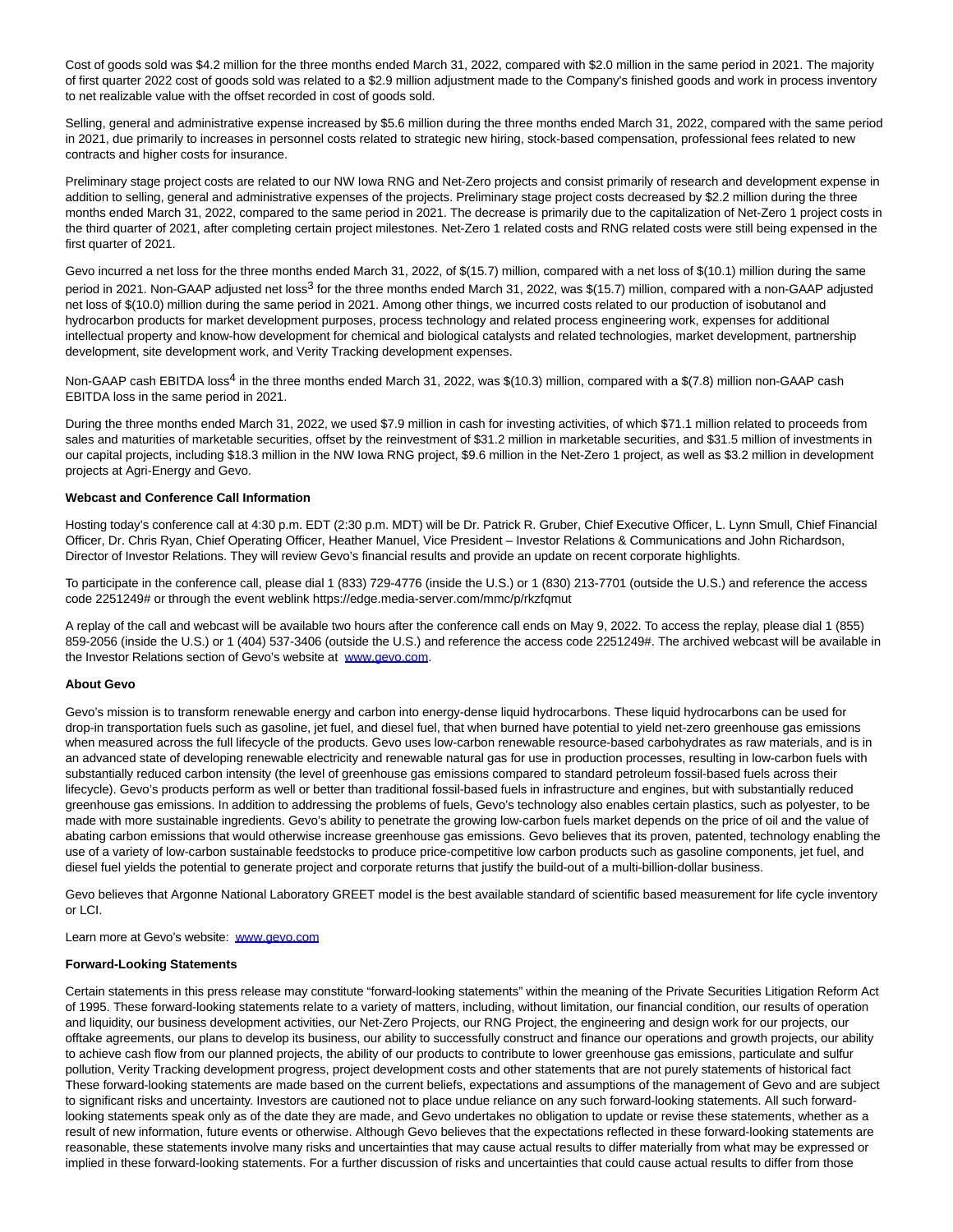Cost of goods sold was \$4.2 million for the three months ended March 31, 2022, compared with \$2.0 million in the same period in 2021. The majority of first quarter 2022 cost of goods sold was related to a \$2.9 million adjustment made to the Company's finished goods and work in process inventory to net realizable value with the offset recorded in cost of goods sold.

Selling, general and administrative expense increased by \$5.6 million during the three months ended March 31, 2022, compared with the same period in 2021, due primarily to increases in personnel costs related to strategic new hiring, stock-based compensation, professional fees related to new contracts and higher costs for insurance.

Preliminary stage project costs are related to our NW Iowa RNG and Net-Zero projects and consist primarily of research and development expense in addition to selling, general and administrative expenses of the projects. Preliminary stage project costs decreased by \$2.2 million during the three months ended March 31, 2022, compared to the same period in 2021. The decrease is primarily due to the capitalization of Net-Zero 1 project costs in the third quarter of 2021, after completing certain project milestones. Net-Zero 1 related costs and RNG related costs were still being expensed in the first quarter of 2021.

Gevo incurred a net loss for the three months ended March 31, 2022, of \$(15.7) million, compared with a net loss of \$(10.1) million during the same period in 2021. Non-GAAP adjusted net loss<sup>3</sup> for the three months ended March 31, 2022, was \$(15.7) million, compared with a non-GAAP adjusted net loss of \$(10.0) million during the same period in 2021. Among other things, we incurred costs related to our production of isobutanol and hydrocarbon products for market development purposes, process technology and related process engineering work, expenses for additional intellectual property and know-how development for chemical and biological catalysts and related technologies, market development, partnership development, site development work, and Verity Tracking development expenses.

Non-GAAP cash EBITDA loss<sup>4</sup> in the three months ended March 31, 2022, was \$(10.3) million, compared with a \$(7.8) million non-GAAP cash EBITDA loss in the same period in 2021.

During the three months ended March 31, 2022, we used \$7.9 million in cash for investing activities, of which \$71.1 million related to proceeds from sales and maturities of marketable securities, offset by the reinvestment of \$31.2 million in marketable securities, and \$31.5 million of investments in our capital projects, including \$18.3 million in the NW Iowa RNG project, \$9.6 million in the Net-Zero 1 project, as well as \$3.2 million in development projects at Agri-Energy and Gevo.

### **Webcast and Conference Call Information**

Hosting today's conference call at 4:30 p.m. EDT (2:30 p.m. MDT) will be Dr. Patrick R. Gruber, Chief Executive Officer, L. Lynn Smull, Chief Financial Officer, Dr. Chris Ryan, Chief Operating Officer, Heather Manuel, Vice President – Investor Relations & Communications and John Richardson, Director of Investor Relations. They will review Gevo's financial results and provide an update on recent corporate highlights.

To participate in the conference call, please dial 1 (833) 729-4776 (inside the U.S.) or 1 (830) 213-7701 (outside the U.S.) and reference the access code 2251249# or through the event weblink https://edge.media-server.com/mmc/p/rkzfqmut

A replay of the call and webcast will be available two hours after the conference call ends on May 9, 2022. To access the replay, please dial 1 (855) 859-2056 (inside the U.S.) or 1 (404) 537-3406 (outside the U.S.) and reference the access code 2251249#. The archived webcast will be available in the Investor Relations section of Gevo's website at [www.gevo.com.](https://www.globenewswire.com/Tracker?data=tMf81lvUmLo5eJ8LBIVjHlgb6i9t_972pm8fkE5_kdH8GyHG-2zq4w91yukjpYFmWW1xPbbCmaBIeVwPvIukSQ==)

#### **About Gevo**

Gevo's mission is to transform renewable energy and carbon into energy-dense liquid hydrocarbons. These liquid hydrocarbons can be used for drop-in transportation fuels such as gasoline, jet fuel, and diesel fuel, that when burned have potential to yield net-zero greenhouse gas emissions when measured across the full lifecycle of the products. Gevo uses low-carbon renewable resource-based carbohydrates as raw materials, and is in an advanced state of developing renewable electricity and renewable natural gas for use in production processes, resulting in low-carbon fuels with substantially reduced carbon intensity (the level of greenhouse gas emissions compared to standard petroleum fossil-based fuels across their lifecycle). Gevo's products perform as well or better than traditional fossil-based fuels in infrastructure and engines, but with substantially reduced greenhouse gas emissions. In addition to addressing the problems of fuels, Gevo's technology also enables certain plastics, such as polyester, to be made with more sustainable ingredients. Gevo's ability to penetrate the growing low-carbon fuels market depends on the price of oil and the value of abating carbon emissions that would otherwise increase greenhouse gas emissions. Gevo believes that its proven, patented, technology enabling the use of a variety of low-carbon sustainable feedstocks to produce price-competitive low carbon products such as gasoline components, jet fuel, and diesel fuel yields the potential to generate project and corporate returns that justify the build-out of a multi-billion-dollar business.

Gevo believes that Argonne National Laboratory GREET model is the best available standard of scientific based measurement for life cycle inventory or LCI.

Learn more at Gevo's website: [www.gevo.com](https://www.globenewswire.com/Tracker?data=tMf81lvUmLo5eJ8LBIVjHi67dz1MkT5bjJrZt1KN14XDewVZ6uZWHNkTSMafwGjb8b1E0ksvc_bYPPrW-L3DlQ==)

#### **Forward-Looking Statements**

Certain statements in this press release may constitute "forward-looking statements" within the meaning of the Private Securities Litigation Reform Act of 1995. These forward-looking statements relate to a variety of matters, including, without limitation, our financial condition, our results of operation and liquidity, our business development activities, our Net-Zero Projects, our RNG Project, the engineering and design work for our projects, our offtake agreements, our plans to develop its business, our ability to successfully construct and finance our operations and growth projects, our ability to achieve cash flow from our planned projects, the ability of our products to contribute to lower greenhouse gas emissions, particulate and sulfur pollution, Verity Tracking development progress, project development costs and other statements that are not purely statements of historical fact These forward-looking statements are made based on the current beliefs, expectations and assumptions of the management of Gevo and are subject to significant risks and uncertainty. Investors are cautioned not to place undue reliance on any such forward-looking statements. All such forwardlooking statements speak only as of the date they are made, and Gevo undertakes no obligation to update or revise these statements, whether as a result of new information, future events or otherwise. Although Gevo believes that the expectations reflected in these forward-looking statements are reasonable, these statements involve many risks and uncertainties that may cause actual results to differ materially from what may be expressed or implied in these forward-looking statements. For a further discussion of risks and uncertainties that could cause actual results to differ from those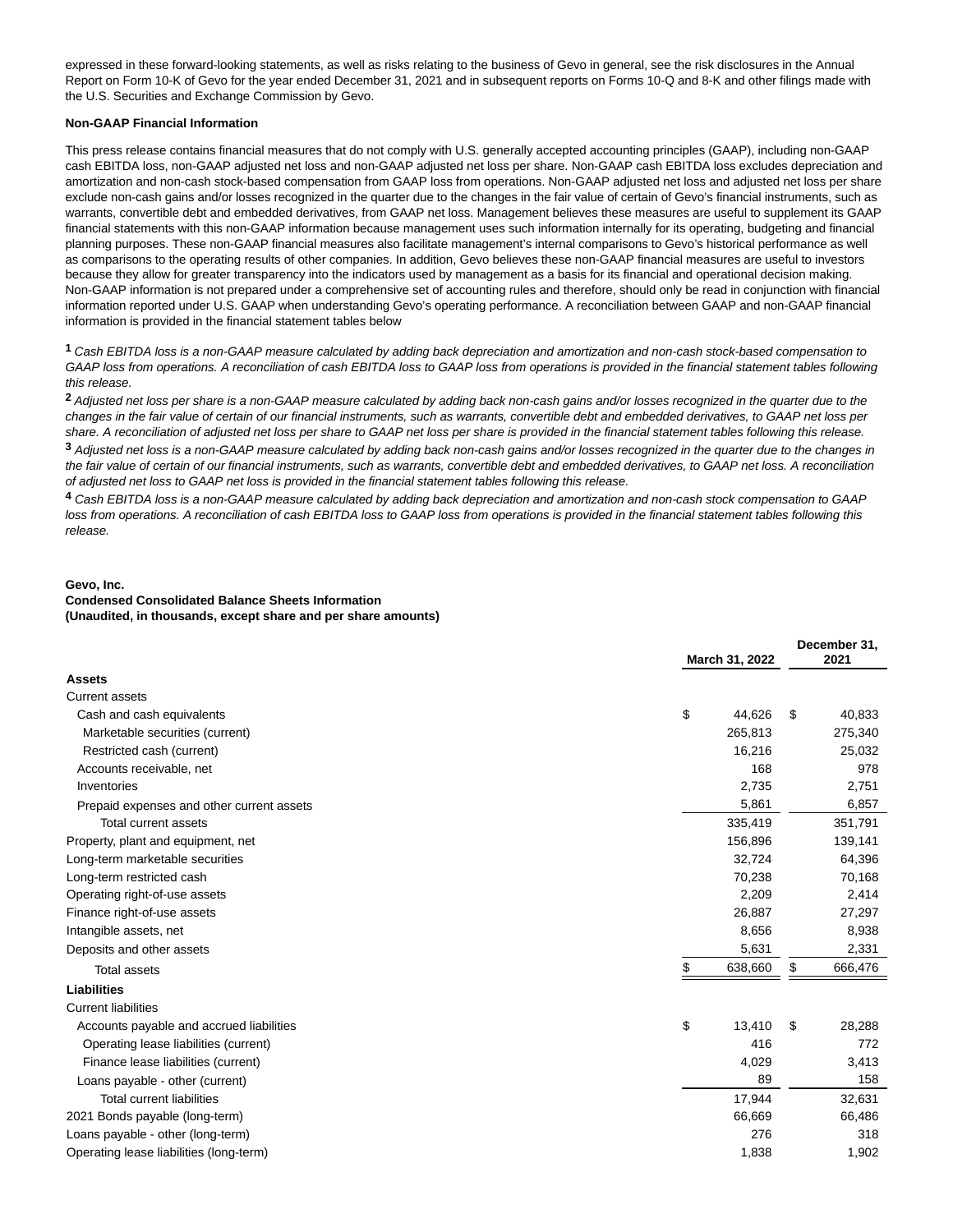expressed in these forward-looking statements, as well as risks relating to the business of Gevo in general, see the risk disclosures in the Annual Report on Form 10-K of Gevo for the year ended December 31, 2021 and in subsequent reports on Forms 10-Q and 8-K and other filings made with the U.S. Securities and Exchange Commission by Gevo.

### **Non-GAAP Financial Information**

This press release contains financial measures that do not comply with U.S. generally accepted accounting principles (GAAP), including non-GAAP cash EBITDA loss, non-GAAP adjusted net loss and non-GAAP adjusted net loss per share. Non-GAAP cash EBITDA loss excludes depreciation and amortization and non-cash stock-based compensation from GAAP loss from operations. Non-GAAP adjusted net loss and adjusted net loss per share exclude non-cash gains and/or losses recognized in the quarter due to the changes in the fair value of certain of Gevo's financial instruments, such as warrants, convertible debt and embedded derivatives, from GAAP net loss. Management believes these measures are useful to supplement its GAAP financial statements with this non-GAAP information because management uses such information internally for its operating, budgeting and financial planning purposes. These non-GAAP financial measures also facilitate management's internal comparisons to Gevo's historical performance as well as comparisons to the operating results of other companies. In addition, Gevo believes these non-GAAP financial measures are useful to investors because they allow for greater transparency into the indicators used by management as a basis for its financial and operational decision making. Non-GAAP information is not prepared under a comprehensive set of accounting rules and therefore, should only be read in conjunction with financial information reported under U.S. GAAP when understanding Gevo's operating performance. A reconciliation between GAAP and non-GAAP financial information is provided in the financial statement tables below

**1** Cash EBITDA loss is a non-GAAP measure calculated by adding back depreciation and amortization and non-cash stock-based compensation to GAAP loss from operations. A reconciliation of cash EBITDA loss to GAAP loss from operations is provided in the financial statement tables following this release.

**2** Adjusted net loss per share is a non-GAAP measure calculated by adding back non-cash gains and/or losses recognized in the quarter due to the changes in the fair value of certain of our financial instruments, such as warrants, convertible debt and embedded derivatives, to GAAP net loss per share. A reconciliation of adjusted net loss per share to GAAP net loss per share is provided in the financial statement tables following this release.

**3** Adjusted net loss is a non-GAAP measure calculated by adding back non-cash gains and/or losses recognized in the quarter due to the changes in the fair value of certain of our financial instruments, such as warrants, convertible debt and embedded derivatives, to GAAP net loss. A reconciliation of adjusted net loss to GAAP net loss is provided in the financial statement tables following this release.

**4** Cash EBITDA loss is a non-GAAP measure calculated by adding back depreciation and amortization and non-cash stock compensation to GAAP loss from operations. A reconciliation of cash EBITDA loss to GAAP loss from operations is provided in the financial statement tables following this release.

#### **Gevo, Inc.**

# **Condensed Consolidated Balance Sheets Information**

**(Unaudited, in thousands, except share and per share amounts)**

|                                           |                |         |    | December 31, |  |  |
|-------------------------------------------|----------------|---------|----|--------------|--|--|
|                                           | March 31, 2022 |         |    | 2021         |  |  |
| <b>Assets</b>                             |                |         |    |              |  |  |
| <b>Current assets</b>                     |                |         |    |              |  |  |
| Cash and cash equivalents                 | \$             | 44,626  | \$ | 40,833       |  |  |
| Marketable securities (current)           |                | 265,813 |    | 275,340      |  |  |
| Restricted cash (current)                 |                | 16,216  |    | 25,032       |  |  |
| Accounts receivable, net                  |                | 168     |    | 978          |  |  |
| Inventories                               |                | 2,735   |    | 2,751        |  |  |
| Prepaid expenses and other current assets |                | 5,861   |    | 6,857        |  |  |
| Total current assets                      |                | 335,419 |    | 351,791      |  |  |
| Property, plant and equipment, net        |                | 156,896 |    | 139,141      |  |  |
| Long-term marketable securities           |                | 32,724  |    | 64,396       |  |  |
| Long-term restricted cash                 |                | 70,238  |    | 70,168       |  |  |
| Operating right-of-use assets             |                | 2,209   |    | 2,414        |  |  |
| Finance right-of-use assets               |                | 26,887  |    | 27,297       |  |  |
| Intangible assets, net                    |                | 8,656   |    | 8,938        |  |  |
| Deposits and other assets                 |                | 5,631   |    | 2,331        |  |  |
| <b>Total assets</b>                       | \$             | 638,660 | \$ | 666,476      |  |  |
| <b>Liabilities</b>                        |                |         |    |              |  |  |
| <b>Current liabilities</b>                |                |         |    |              |  |  |
| Accounts payable and accrued liabilities  | \$             | 13,410  | \$ | 28,288       |  |  |
| Operating lease liabilities (current)     |                | 416     |    | 772          |  |  |
| Finance lease liabilities (current)       |                | 4,029   |    | 3,413        |  |  |
| Loans payable - other (current)           |                | 89      |    | 158          |  |  |
| <b>Total current liabilities</b>          |                | 17,944  |    | 32,631       |  |  |
| 2021 Bonds payable (long-term)            |                | 66,669  |    | 66,486       |  |  |
| Loans payable - other (long-term)         |                | 276     |    | 318          |  |  |
| Operating lease liabilities (long-term)   |                | 1,838   |    | 1,902        |  |  |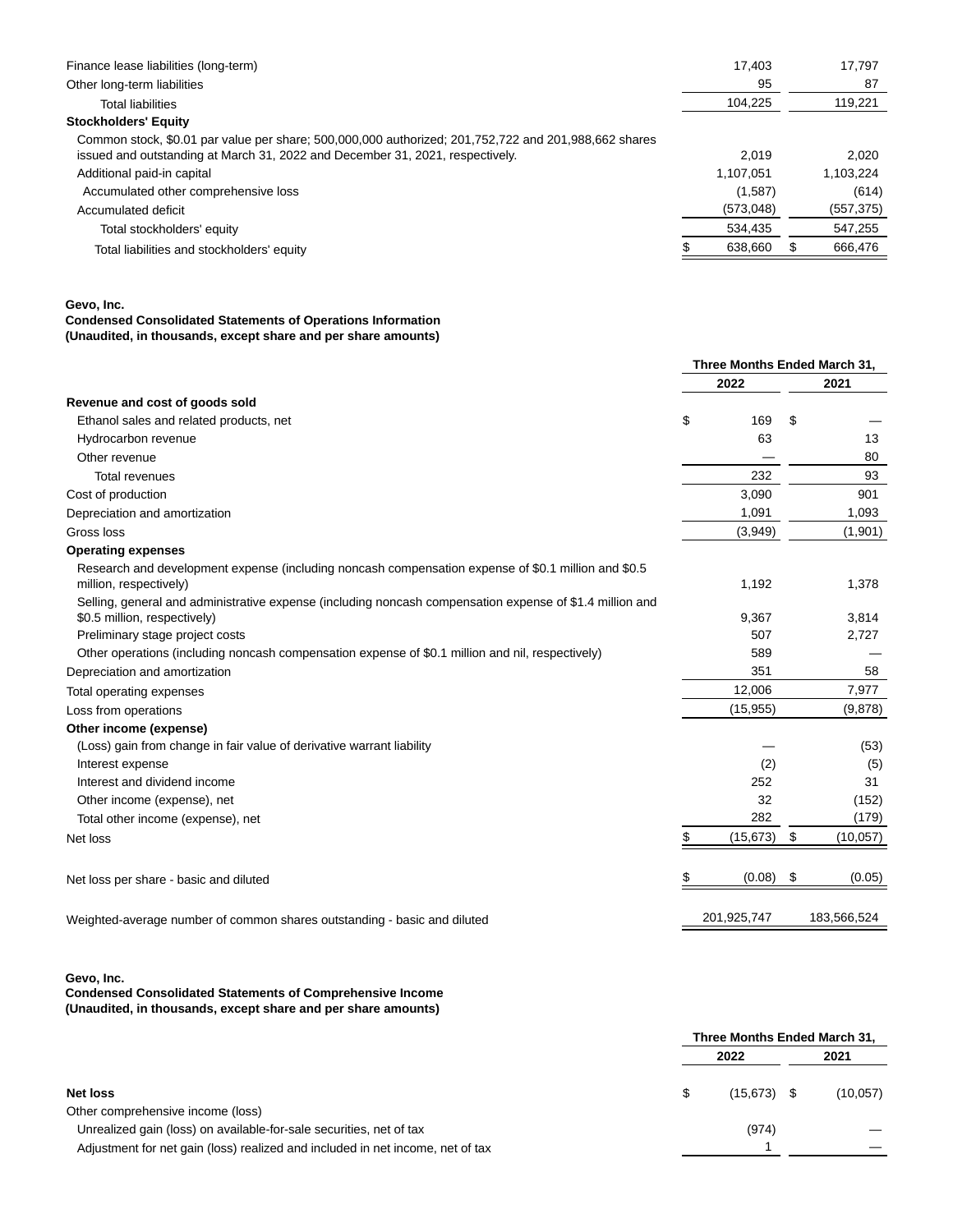| Finance lease liabilities (long-term)                                                                | 17.403    | 17.797     |
|------------------------------------------------------------------------------------------------------|-----------|------------|
| Other long-term liabilities                                                                          | 95        | 87         |
| <b>Total liabilities</b>                                                                             | 104,225   | 119,221    |
| <b>Stockholders' Equity</b>                                                                          |           |            |
| Common stock, \$0.01 par value per share; 500,000,000 authorized; 201,752,722 and 201,988,662 shares |           |            |
| issued and outstanding at March 31, 2022 and December 31, 2021, respectively.                        | 2.019     | 2.020      |
| Additional paid-in capital                                                                           | 1.107.051 | 1,103,224  |
| Accumulated other comprehensive loss                                                                 | (1,587)   | (614)      |
| Accumulated deficit                                                                                  | (573,048) | (557, 375) |
| Total stockholders' equity                                                                           | 534,435   | 547.255    |
| Total liabilities and stockholders' equity                                                           | 638.660   | 666.476    |
|                                                                                                      |           |            |

**Gevo, Inc.**

#### **Condensed Consolidated Statements of Operations Information (Unaudited, in thousands, except share and per share amounts)**

|                                                                                                                               | Three Months Ended March 31, |             |    |             |
|-------------------------------------------------------------------------------------------------------------------------------|------------------------------|-------------|----|-------------|
|                                                                                                                               | 2022                         |             |    | 2021        |
| Revenue and cost of goods sold                                                                                                |                              |             |    |             |
| Ethanol sales and related products, net                                                                                       | \$                           | 169         | \$ |             |
| Hydrocarbon revenue                                                                                                           |                              | 63          |    | 13          |
| Other revenue                                                                                                                 |                              |             |    | 80          |
| <b>Total revenues</b>                                                                                                         |                              | 232         |    | 93          |
| Cost of production                                                                                                            |                              | 3,090       |    | 901         |
| Depreciation and amortization                                                                                                 |                              | 1,091       |    | 1,093       |
| Gross loss                                                                                                                    |                              | (3,949)     |    | (1,901)     |
| <b>Operating expenses</b>                                                                                                     |                              |             |    |             |
| Research and development expense (including noncash compensation expense of \$0.1 million and \$0.5<br>million, respectively) |                              | 1,192       |    | 1,378       |
| Selling, general and administrative expense (including noncash compensation expense of \$1.4 million and                      |                              |             |    |             |
| \$0.5 million, respectively)                                                                                                  |                              | 9,367       |    | 3,814       |
| Preliminary stage project costs                                                                                               |                              | 507         |    | 2,727       |
| Other operations (including noncash compensation expense of \$0.1 million and nil, respectively)                              |                              | 589         |    |             |
| Depreciation and amortization                                                                                                 |                              | 351         |    | 58          |
| Total operating expenses                                                                                                      |                              | 12,006      |    | 7,977       |
| Loss from operations                                                                                                          |                              | (15, 955)   |    | (9,878)     |
| Other income (expense)                                                                                                        |                              |             |    |             |
| (Loss) gain from change in fair value of derivative warrant liability                                                         |                              |             |    | (53)        |
| Interest expense                                                                                                              |                              | (2)         |    | (5)         |
| Interest and dividend income                                                                                                  |                              | 252         |    | 31          |
| Other income (expense), net                                                                                                   |                              | 32          |    | (152)       |
| Total other income (expense), net                                                                                             |                              | 282         |    | (179)       |
| Net loss                                                                                                                      | \$                           | (15, 673)   | \$ | (10, 057)   |
| Net loss per share - basic and diluted                                                                                        | \$                           | (0.08)      | \$ | (0.05)      |
| Weighted-average number of common shares outstanding - basic and diluted                                                      |                              | 201,925,747 |    | 183,566,524 |

**Gevo, Inc.**

**Condensed Consolidated Statements of Comprehensive Income (Unaudited, in thousands, except share and per share amounts)**

|                                                                                |      | Three Months Ended March 31, |      |          |  |
|--------------------------------------------------------------------------------|------|------------------------------|------|----------|--|
|                                                                                | 2022 |                              | 2021 |          |  |
| Net loss                                                                       | S    | $(15.673)$ \$                |      | (10,057) |  |
| Other comprehensive income (loss)                                              |      |                              |      |          |  |
| Unrealized gain (loss) on available-for-sale securities, net of tax            |      | (974)                        |      |          |  |
| Adjustment for net gain (loss) realized and included in net income, net of tax |      |                              |      |          |  |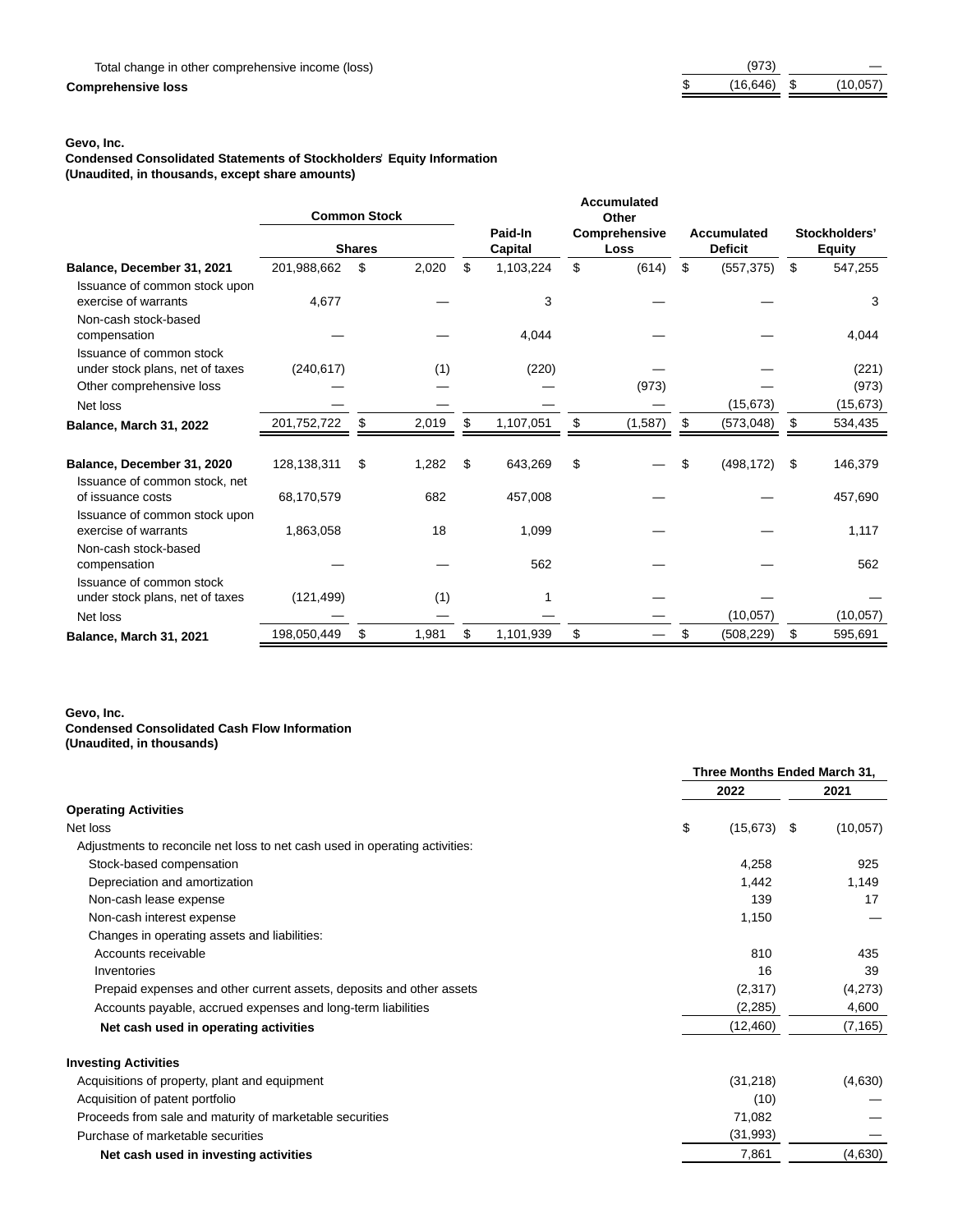# $Comprehensive loss$

| (973)    |          |
|----------|----------|
| (16.646) | (10,057) |

### **Gevo, Inc.**

**Condensed Consolidated Statements of Stockholders**' **Equity Information**

**(Unaudited, in thousands, except share amounts)**

|                                                                  | <b>Common Stock</b> | <b>Shares</b> |       | Paid-In<br>Capital | <b>Accumulated</b><br>Other<br>Comprehensive<br>Loss | Accumulated<br><b>Deficit</b> | Stockholders'<br><b>Equity</b> |
|------------------------------------------------------------------|---------------------|---------------|-------|--------------------|------------------------------------------------------|-------------------------------|--------------------------------|
| Balance, December 31, 2021                                       | 201,988,662         | \$            | 2,020 | \$<br>1,103,224    | \$<br>(614)                                          | \$<br>(557, 375)              | \$<br>547,255                  |
| Issuance of common stock upon<br>exercise of warrants            | 4,677               |               |       | 3                  |                                                      |                               | 3                              |
| Non-cash stock-based<br>compensation                             |                     |               |       | 4,044              |                                                      |                               | 4,044                          |
| Issuance of common stock<br>under stock plans, net of taxes      | (240, 617)          |               | (1)   | (220)              |                                                      |                               | (221)                          |
| Other comprehensive loss                                         |                     |               |       |                    | (973)                                                |                               | (973)                          |
| Net loss                                                         |                     |               |       |                    |                                                      | (15, 673)                     | (15, 673)                      |
| Balance, March 31, 2022                                          | 201,752,722         | \$            | 2,019 | \$<br>1,107,051    | \$<br>(1,587)                                        | \$<br>(573, 048)              | \$<br>534,435                  |
| Balance, December 31, 2020<br>Issuance of common stock, net      | 128,138,311         | \$            | 1,282 | \$<br>643,269      | \$                                                   | \$<br>(498, 172)              | \$<br>146,379                  |
| of issuance costs                                                | 68,170,579          |               | 682   | 457,008            |                                                      |                               | 457,690                        |
| Issuance of common stock upon<br>exercise of warrants            | 1,863,058           |               | 18    | 1,099              |                                                      |                               | 1,117                          |
| Non-cash stock-based<br>compensation<br>Issuance of common stock |                     |               |       | 562                |                                                      |                               | 562                            |
| under stock plans, net of taxes                                  | (121, 499)          |               | (1)   |                    |                                                      |                               |                                |
| Net loss                                                         |                     |               |       |                    |                                                      | (10, 057)                     | (10,057)                       |
| Balance, March 31, 2021                                          | 198,050,449         | \$            | 1,981 | \$<br>1,101,939    | \$                                                   | \$<br>(508, 229)              | \$<br>595,691                  |

### **Gevo, Inc. Condensed Consolidated Cash Flow Information (Unaudited, in thousands)**

|                                                                             | Three Months Ended March 31, |          |  |  |
|-----------------------------------------------------------------------------|------------------------------|----------|--|--|
|                                                                             | 2022                         | 2021     |  |  |
| <b>Operating Activities</b>                                                 |                              |          |  |  |
| Net loss                                                                    | \$<br>$(15,673)$ \$          | (10,057) |  |  |
| Adjustments to reconcile net loss to net cash used in operating activities: |                              |          |  |  |
| Stock-based compensation                                                    | 4,258                        | 925      |  |  |
| Depreciation and amortization                                               | 1,442                        | 1,149    |  |  |
| Non-cash lease expense                                                      | 139                          | 17       |  |  |
| Non-cash interest expense                                                   | 1,150                        |          |  |  |
| Changes in operating assets and liabilities:                                |                              |          |  |  |
| Accounts receivable                                                         | 810                          | 435      |  |  |
| Inventories                                                                 | 16                           | 39       |  |  |
| Prepaid expenses and other current assets, deposits and other assets        | (2,317)                      | (4,273)  |  |  |
| Accounts payable, accrued expenses and long-term liabilities                | (2,285)                      | 4,600    |  |  |
| Net cash used in operating activities                                       | (12, 460)                    | (7, 165) |  |  |
| <b>Investing Activities</b>                                                 |                              |          |  |  |
| Acquisitions of property, plant and equipment                               | (31,218)                     | (4,630)  |  |  |
| Acquisition of patent portfolio                                             | (10)                         |          |  |  |
| Proceeds from sale and maturity of marketable securities                    | 71,082                       |          |  |  |
| Purchase of marketable securities                                           | (31, 993)                    |          |  |  |
| Net cash used in investing activities                                       | 7,861                        | (4,630)  |  |  |
|                                                                             |                              |          |  |  |